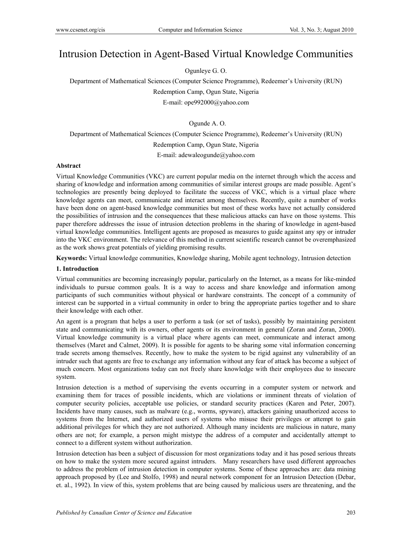# Intrusion Detection in Agent-Based Virtual Knowledge Communities

Ogunleye G. O.

Department of Mathematical Sciences (Computer Science Programme), Redeemer's University (RUN) Redemption Camp, Ogun State, Nigeria

E-mail: ope992000@yahoo.com

Ogunde A. O.

Department of Mathematical Sciences (Computer Science Programme), Redeemer's University (RUN) Redemption Camp, Ogun State, Nigeria E-mail: adewaleogunde@yahoo.com

# **Abstract**

Virtual Knowledge Communities (VKC) are current popular media on the internet through which the access and sharing of knowledge and information among communities of similar interest groups are made possible. Agent's technologies are presently being deployed to facilitate the success of VKC, which is a virtual place where knowledge agents can meet, communicate and interact among themselves. Recently, quite a number of works have been done on agent-based knowledge communities but most of these works have not actually considered the possibilities of intrusion and the consequences that these malicious attacks can have on those systems. This paper therefore addresses the issue of intrusion detection problems in the sharing of knowledge in agent-based virtual knowledge communities. Intelligent agents are proposed as measures to guide against any spy or intruder into the VKC environment. The relevance of this method in current scientific research cannot be overemphasized as the work shows great potentials of yielding promising results.

**Keywords:** Virtual knowledge communities, Knowledge sharing, Mobile agent technology, Intrusion detection

# **1. Introduction**

Virtual communities are becoming increasingly popular, particularly on the Internet, as a means for like-minded individuals to pursue common goals. It is a way to access and share knowledge and information among participants of such communities without physical or hardware constraints. The concept of a community of interest can be supported in a virtual community in order to bring the appropriate parties together and to share their knowledge with each other.

An agent is a program that helps a user to perform a task (or set of tasks), possibly by maintaining persistent state and communicating with its owners, other agents or its environment in general (Zoran and Zoran, 2000). Virtual knowledge community is a virtual place where agents can meet, communicate and interact among themselves (Maret and Calmet, 2009). It is possible for agents to be sharing some vital information concerning trade secrets among themselves. Recently, how to make the system to be rigid against any vulnerability of an intruder such that agents are free to exchange any information without any fear of attack has become a subject of much concern. Most organizations today can not freely share knowledge with their employees due to insecure system.

Intrusion detection is a method of supervising the events occurring in a computer system or network and examining them for traces of possible incidents, which are violations or imminent threats of violation of computer security policies, acceptable use policies, or standard security practices (Karen and Peter, 2007). Incidents have many causes, such as malware (e.g., worms, spyware), attackers gaining unauthorized access to systems from the Internet, and authorized users of systems who misuse their privileges or attempt to gain additional privileges for which they are not authorized. Although many incidents are malicious in nature, many others are not; for example, a person might mistype the address of a computer and accidentally attempt to connect to a different system without authorization.

Intrusion detection has been a subject of discussion for most organizations today and it has posed serious threats on how to make the system more secured against intruders. Many researchers have used different approaches to address the problem of intrusion detection in computer systems. Some of these approaches are: data mining approach proposed by (Lee and Stolfo, 1998) and neural network component for an Intrusion Detection (Debar, et. al., 1992). In view of this, system problems that are being caused by malicious users are threatening, and the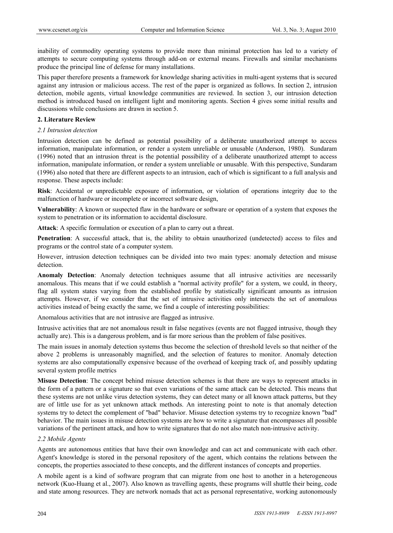inability of commodity operating systems to provide more than minimal protection has led to a variety of attempts to secure computing systems through add-on or external means. Firewalls and similar mechanisms produce the principal line of defense for many installations.

This paper therefore presents a framework for knowledge sharing activities in multi-agent systems that is secured against any intrusion or malicious access. The rest of the paper is organized as follows. In section 2, intrusion detection, mobile agents, virtual knowledge communities are reviewed. In section 3, our intrusion detection method is introduced based on intelligent light and monitoring agents. Section 4 gives some initial results and discussions while conclusions are drawn in section 5.

## **2. Literature Review**

## *2.1 Intrusion detection*

Intrusion detection can be defined as potential possibility of a deliberate unauthorized attempt to access information, manipulate information, or render a system unreliable or unusable (Anderson, 1980). Sundaram (1996) noted that an intrusion threat is the potential possibility of a deliberate unauthorized attempt to access information, manipulate information, or render a system unreliable or unusable. With this perspective, Sundaram (1996) also noted that there are different aspects to an intrusion, each of which is significant to a full analysis and response. These aspects include:

**Risk**: Accidental or unpredictable exposure of information, or violation of operations integrity due to the malfunction of hardware or incomplete or incorrect software design,

**Vulnerability**: A known or suspected flaw in the hardware or software or operation of a system that exposes the system to penetration or its information to accidental disclosure.

**Attack**: A specific formulation or execution of a plan to carry out a threat.

**Penetration**: A successful attack, that is, the ability to obtain unauthorized (undetected) access to files and programs or the control state of a computer system.

However, intrusion detection techniques can be divided into two main types: anomaly detection and misuse detection.

**Anomaly Detection**: Anomaly detection techniques assume that all intrusive activities are necessarily anomalous. This means that if we could establish a "normal activity profile" for a system, we could, in theory, flag all system states varying from the established profile by statistically significant amounts as intrusion attempts. However, if we consider that the set of intrusive activities only intersects the set of anomalous activities instead of being exactly the same, we find a couple of interesting possibilities:

Anomalous activities that are not intrusive are flagged as intrusive.

Intrusive activities that are not anomalous result in false negatives (events are not flagged intrusive, though they actually are). This is a dangerous problem, and is far more serious than the problem of false positives.

The main issues in anomaly detection systems thus become the selection of threshold levels so that neither of the above 2 problems is unreasonably magnified, and the selection of features to monitor. Anomaly detection systems are also computationally expensive because of the overhead of keeping track of, and possibly updating several system profile metrics

**Misuse Detection**: The concept behind misuse detection schemes is that there are ways to represent attacks in the form of a pattern or a signature so that even variations of the same attack can be detected. This means that these systems are not unlike virus detection systems, they can detect many or all known attack patterns, but they are of little use for as yet unknown attack methods. An interesting point to note is that anomaly detection systems try to detect the complement of "bad" behavior. Misuse detection systems try to recognize known "bad" behavior. The main issues in misuse detection systems are how to write a signature that encompasses all possible variations of the pertinent attack, and how to write signatures that do not also match non-intrusive activity.

# *2.2 Mobile Agents*

Agents are autonomous entities that have their own knowledge and can act and communicate with each other. Agent's knowledge is stored in the personal repository of the agent, which contains the relations between the concepts, the properties associated to these concepts, and the different instances of concepts and properties.

A mobile agent is a kind of software program that can migrate from one host to another in a heterogeneous network (Kuo-Huang et al., 2007). Also known as travelling agents, these programs will shuttle their being, code and state among resources. They are network nomads that act as personal representative, working autonomously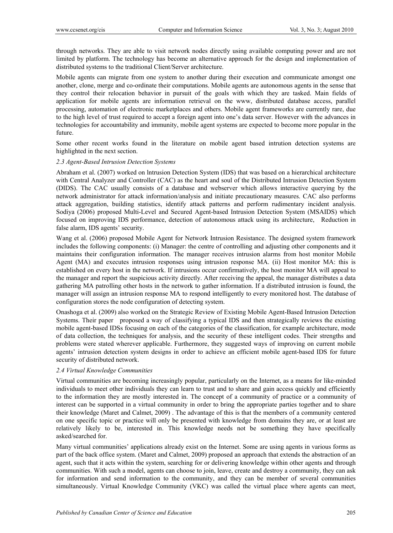through networks. They are able to visit network nodes directly using available computing power and are not limited by platform. The technology has become an alternative approach for the design and implementation of distributed systems to the traditional Client/Server architecture.

Mobile agents can migrate from one system to another during their execution and communicate amongst one another, clone, merge and co-ordinate their computations. Mobile agents are autonomous agents in the sense that they control their relocation behavior in pursuit of the goals with which they are tasked. Main fields of application for mobile agents are information retrieval on the www, distributed database access, parallel processing, automation of electronic marketplaces and others. Mobile agent frameworks are currently rare, due to the high level of trust required to accept a foreign agent into one's data server. However with the advances in technologies for accountability and immunity, mobile agent systems are expected to become more popular in the future.

Some other recent works found in the literature on mobile agent based intrution detection systems are highlighted in the next section.

#### *2.3 Agent-Based Intrusion Detection Systems*

Abraham et al. (2007) worked on lntrusion Detection System (IDS) that was based on a hierarchical architecture with Central Analyzer and Controller (CAC) as the heart and soul of the Distributed Intrusion Detection System (DIDS). The CAC usually consists of a database and webserver which allows interactive querying by the network administrator for attack information/analysis and initiate precautionary measures. CAC also performs attack aggregation, building statistics, identify attack patterns and perform rudimentary incident analysis. Sodiya (2006) proposed Multi-Level and Secured Agent-based Intrusion Detection System (MSAIDS) which focused on improving IDS performance, detection of autonomous attack using its architecture, Reduction in false alarm, IDS agents' security.

Wang et al. (2006) proposed Mobile Agent for Network Intrusion Resistance. The designed system framework includes the following components: (i) Manager: the centre of controlling and adjusting other components and it maintains their configuration information. The manager receives intrusion alarms from host monitor Mobile Agent (MA) and executes intrusion responses using intrusion response MA. (ii) Host monitor MA: this is established on every host in the network. If intrusions occur confirmatively, the host monitor MA will appeal to the manager and report the suspicious activity directly. After receiving the appeal, the manager distributes a data gathering MA patrolling other hosts in the network to gather information. If a distributed intrusion is found, the manager will assign an intrusion response MA to respond intelligently to every monitored host. The database of configuration stores the node configuration of detecting system.

Onashoga et al. (2009) also worked on the Strategic Review of Existing Mobile Agent-Based Intrusion Detection Systems. Their paper proposed a way of classifying a typical IDS and then strategically reviews the existing mobile agent-based IDSs focusing on each of the categories of the classification, for example architecture, mode of data collection, the techniques for analysis, and the security of these intelligent codes. Their strengths and problems were stated wherever applicable. Furthermore, they suggested ways of improving on current mobile agents' intrusion detection system designs in order to achieve an efficient mobile agent-based IDS for future security of distributed network.

# *2.4 Virtual Knowledge Communities*

Virtual communities are becoming increasingly popular, particularly on the Internet, as a means for like-minded individuals to meet other individuals they can learn to trust and to share and gain access quickly and efficiently to the information they are mostly interested in. The concept of a community of practice or a community of interest can be supported in a virtual community in order to bring the appropriate parties together and to share their knowledge (Maret and Calmet, 2009) . The advantage of this is that the members of a community centered on one specific topic or practice will only be presented with knowledge from domains they are, or at least are relatively likely to be, interested in. This knowledge needs not be something they have specifically asked/searched for.

Many virtual communities' applications already exist on the Internet. Some are using agents in various forms as part of the back office system. (Maret and Calmet, 2009) proposed an approach that extends the abstraction of an agent, such that it acts within the system, searching for or delivering knowledge within other agents and through communities. With such a model, agents can choose to join, leave, create and destroy a community, they can ask for information and send information to the community, and they can be member of several communities simultaneously. Virtual Knowledge Community (VKC) was called the virtual place where agents can meet,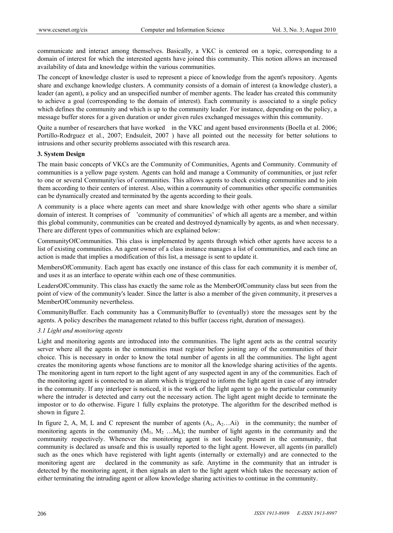communicate and interact among themselves. Basically, a VKC is centered on a topic, corresponding to a domain of interest for which the interested agents have joined this community. This notion allows an increased availability of data and knowledge within the various communities.

The concept of knowledge cluster is used to represent a piece of knowledge from the agent's repository. Agents share and exchange knowledge clusters. A community consists of a domain of interest (a knowledge cluster), a leader (an agent), a policy and an unspecified number of member agents. The leader has created this community to achieve a goal (corresponding to the domain of interest). Each community is associated to a single policy which defines the community and which is up to the community leader. For instance, depending on the policy, a message buffer stores for a given duration or under given rules exchanged messages within this community.

Quite a number of researchers that have worked in the VKC and agent based environments (Boella et al. 2006; Portillo-Rodrguez et al., 2007; Endsuleit, 2007 ) have all pointed out the necessity for better solutions to intrusions and other security problems associated with this research area.

## **3. System Design**

The main basic concepts of VKCs are the Community of Communities, Agents and Community. Community of communities is a yellow page system. Agents can hold and manage a Community of communities, or just refer to one or several Community/ies of communities. This allows agents to check existing communities and to join them according to their centers of interest. Also, within a community of communities other specific communities can be dynamically created and terminated by the agents according to their goals.

A community is a place where agents can meet and share knowledge with other agents who share a similar domain of interest. It comprises of 'community of communities' of which all agents are a member, and within this global community, communities can be created and destroyed dynamically by agents, as and when necessary. There are different types of communities which are explained below:

CommunityOfCommunities. This class is implemented by agents through which other agents have access to a list of existing communities. An agent owner of a class instance manages a list of communities, and each time an action is made that implies a modification of this list, a message is sent to update it.

MembersOfCommunity. Each agent has exactly one instance of this class for each community it is member of, and uses it as an interface to operate within each one of these communities.

LeadersOfCommunity. This class has exactly the same role as the MemberOfCommunity class but seen from the point of view of the community's leader. Since the latter is also a member of the given community, it preserves a MemberOfCommunity nevertheless.

CommunityBuffer. Each community has a CommunityBuffer to (eventually) store the messages sent by the agents. A policy describes the management related to this buffer (access right, duration of messages).

# *3.1 Light and monitoring agents*

Light and monitoring agents are introduced into the communities. The light agent acts as the central security server where all the agents in the communities must register before joining any of the communities of their choice. This is necessary in order to know the total number of agents in all the communities. The light agent creates the monitoring agents whose functions are to monitor all the knowledge sharing activities of the agents. The monitoring agent in turn report to the light agent of any suspected agent in any of the communities. Each of the monitoring agent is connected to an alarm which is triggered to inform the light agent in case of any intruder in the community. If any interloper is noticed, it is the work of the light agent to go to the particular community where the intruder is detected and carry out the necessary action. The light agent might decide to terminate the impostor or to do otherwise. Figure 1 fully explains the prototype. The algorithm for the described method is shown in figure 2.

In figure 2, A, M, L and C represent the number of agents  $(A_1, A_2...A_i)$  in the community; the number of monitoring agents in the community  $(M_1, M_2, ..., M_k)$ ; the number of light agents in the community and the community respectively. Whenever the monitoring agent is not locally present in the community, that community is declared as unsafe and this is usually reported to the light agent. However, all agents (in parallel) such as the ones which have registered with light agents (internally or externally) and are connected to the monitoring agent are declared in the community as safe. Anytime in the community that an intruder is detected by the monitoring agent, it then signals an alert to the light agent which takes the necessary action of either terminating the intruding agent or allow knowledge sharing activities to continue in the community.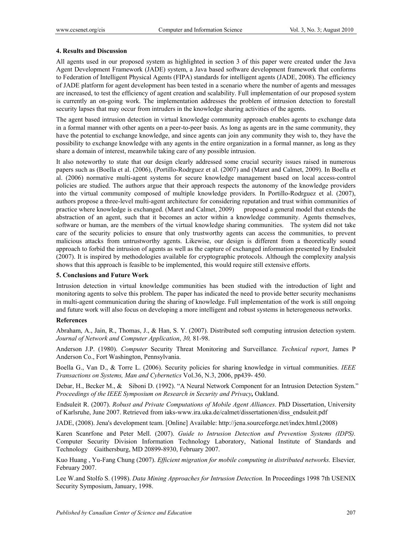### **4. Results and Discussion**

All agents used in our proposed system as highlighted in section 3 of this paper were created under the Java Agent Development Framework (JADE) system, a Java based software development framework that conforms to Federation of Intelligent Physical Agents (FIPA) standards for intelligent agents (JADE, 2008). The efficiency of JADE platform for agent development has been tested in a scenario where the number of agents and messages are increased, to test the efficiency of agent creation and scalability. Full implementation of our proposed system is currently an on-going work. The implementation addresses the problem of intrusion detection to forestall security lapses that may occur from intruders in the knowledge sharing activities of the agents.

The agent based intrusion detection in virtual knowledge community approach enables agents to exchange data in a formal manner with other agents on a peer-to-peer basis. As long as agents are in the same community, they have the potential to exchange knowledge, and since agents can join any community they wish to, they have the possibility to exchange knowledge with any agents in the entire organization in a formal manner, as long as they share a domain of interest, meanwhile taking care of any possible intrusion.

It also noteworthy to state that our design clearly addressed some crucial security issues raised in numerous papers such as (Boella et al. (2006), (Portillo-Rodrguez et al. (2007) and (Maret and Calmet, 2009). In Boella et al. (2006) normative multi-agent systems for secure knowledge management based on local access-control policies are studied. The authors argue that their approach respects the autonomy of the knowledge providers into the virtual community composed of multiple knowledge providers. In Portillo-Rodrguez et al. (2007), authors propose a three-level multi-agent architecture for considering reputation and trust within communities of practice where knowledge is exchanged. (Maret and Calmet, 2009) proposed a general model that extends the abstraction of an agent, such that it becomes an actor within a knowledge community. Agents themselves, software or human, are the members of the virtual knowledge sharing communities. The system did not take care of the security policies to ensure that only trustworthy agents can access the communities, to prevent malicious attacks from untrustworthy agents. Likewise, our design is different from a theoretically sound approach to forbid the intrusion of agents as well as the capture of exchanged information presented by Endsuleit (2007). It is inspired by methodologies available for cryptographic protocols. Although the complexity analysis shows that this approach is feasible to be implemented, this would require still extensive efforts.

#### **5. Conclusions and Future Work**

Intrusion detection in virtual knowledge communities has been studied with the introduction of light and monitoring agents to solve this problem. The paper has indicated the need to provide better security mechanisms in multi-agent communication during the sharing of knowledge. Full implementation of the work is still ongoing and future work will also focus on developing a more intelligent and robust systems in heterogeneous networks.

#### **References**

Abraham, A., Jain, R., Thomas, J., & Han, S. Y. (2007). Distributed soft computing intrusion detection system. *Journal of Network and Computer Application*, *30,* 81-98.

Anderson J.P. (1980). *Computer* Security Threat Monitoring and Surveillance*. Technical report*, James P Anderson Co., Fort Washington, Pennsylvania.

Boella G., Van D., & Torre L. (2006). Security policies for sharing knowledge in virtual communities. *IEEE Transactions on Systems, Man and Cybernetics* Vol.36, N.3, 2006, pp439- 450.

Debar, H., Becker M., & Siboni D. (1992). "A Neural Network Component for an Intrusion Detection System." *Proceedings of the IEEE Symposium on Research in Security and Privacy,* Oakland.

Endsuleit R. (2007). *Robust and Private Computations of Mobile Agent Alliances*. PhD Dissertation, University of Karlsruhe, June 2007. Retrieved from iaks-www.ira.uka.de/calmet/dissertationen/diss\_endsuleit.pdf

JADE, (2008). Jena's development team. [Online] Available: http://jena.sourceforge.net/index.html.(2008)

Karen Scanrfone and Peter Mell. (2007). *Guide to Intrusion Detection and Prevention Systems (IDPS).* Computer Security Division Information Technology Laboratory, National Institute of Standards and Technology Gaithersburg, MD 20899-8930, February 2007.

Kuo Huang , Yu-Fang Chung (2007). *Efficient migration for mobile computing in distributed networks.* Elsevier*,*  February 2007.

Lee W.and Stolfo S. (1998). *Data Mining Approaches for Intrusion Detection.* In Proceedings 1998 7th USENIX Security Symposium, January, 1998.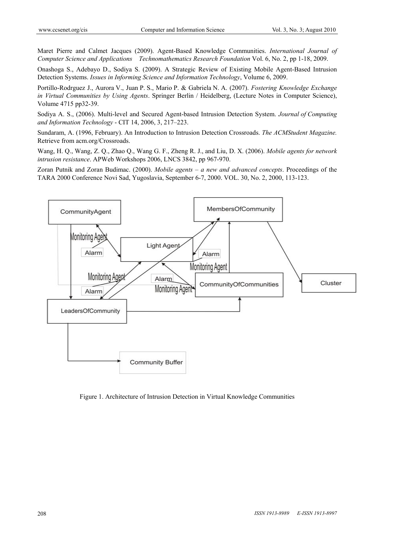Maret Pierre and Calmet Jacques (2009). Agent-Based Knowledge Communities. *International Journal of Computer Science and Applications Technomathematics Research Foundation* Vol. 6, No. 2, pp 1-18, 2009.

Onashoga S., Adebayo D., Sodiya S. (2009). A Strategic Review of Existing Mobile Agent-Based Intrusion Detection Systems. *Issues in Informing Science and Information Technology*, Volume 6, 2009.

Portillo-Rodrguez J., Aurora V., Juan P. S., Mario P. & Gabriela N. A. (2007). *Fostering Knowledge Exchange in Virtual Communities by Using Agents*. Springer Berlin / Heidelberg, (Lecture Notes in Computer Science), Volume 4715 pp32-39.

Sodiya A. S., (2006). Multi-level and Secured Agent-based Intrusion Detection System. *Journal of Computing and Information Technology* - CIT 14, 2006, 3, 217–223.

Sundaram, A. (1996, February). An Introduction to Intrusion Detection Crossroads. *The ACMStudent Magazine.*  Retrieve from acm.org/Crossroads.

Wang, H. Q., Wang, Z. Q., Zhao Q., Wang G. F., Zheng R. J., and Liu, D. X. (2006). *Mobile agents for network intrusion resistance*. APWeb Workshops 2006, LNCS 3842, pp 967-970.

Zoran Putnik and Zoran Budimac. (2000). *Mobile agents – a new and advanced concepts*. Proceedings of the TARA 2000 Conference Novi Sad, Yugoslavia, September 6-7, 2000. VOL. 30, No. 2, 2000, 113-123.



Figure 1. Architecture of Intrusion Detection in Virtual Knowledge Communities